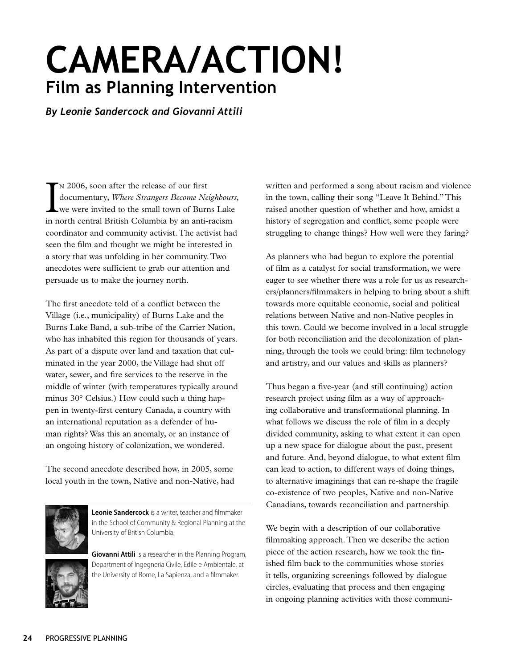# **CAMERA/ACTION! Film as Planning Intervention**

*By Leonie Sandercock and Giovanni Attili*

I n 2006, soon after the release of our first documentary, *Where Strangers Become Neighbours,* we were invited to the small town of Burns Lake in north central British Columbia by an anti-racism coordinator and community activist. The activist had seen the film and thought we might be interested in a story that was unfolding in her community. Two anecdotes were sufficient to grab our attention and persuade us to make the journey north.

The first anecdote told of a conflict between the Village (i.e., municipality) of Burns Lake and the Burns Lake Band, a sub-tribe of the Carrier Nation, who has inhabited this region for thousands of years. As part of a dispute over land and taxation that culminated in the year 2000, the Village had shut off water, sewer, and fire services to the reserve in the middle of winter (with temperatures typically around minus 30° Celsius.) How could such a thing happen in twenty-first century Canada, a country with an international reputation as a defender of human rights? Was this an anomaly, or an instance of an ongoing history of colonization, we wondered.

The second anecdote described how, in 2005, some local youth in the town, Native and non-Native, had



**Leonie Sandercock** is a writer, teacher and filmmaker in the School of Community & Regional Planning at the University of British Columbia.

**Giovanni Attili** is a researcher in the Planning Program, Department of Ingegneria Civile, Edile e Ambientale, at the University of Rome, La Sapienza, and a filmmaker.

written and performed a song about racism and violence in the town, calling their song "Leave It Behind." This raised another question of whether and how, amidst a history of segregation and conflict, some people were struggling to change things? How well were they faring?

As planners who had begun to explore the potential of film as a catalyst for social transformation, we were eager to see whether there was a role for us as researchers/planners/filmmakers in helping to bring about a shift towards more equitable economic, social and political relations between Native and non-Native peoples in this town. Could we become involved in a local struggle for both reconciliation and the decolonization of planning, through the tools we could bring: film technology and artistry, and our values and skills as planners?

Thus began a five-year (and still continuing) action research project using film as a way of approaching collaborative and transformational planning. In what follows we discuss the role of film in a deeply divided community, asking to what extent it can open up a new space for dialogue about the past, present and future. And, beyond dialogue, to what extent film can lead to action, to different ways of doing things, to alternative imaginings that can re-shape the fragile co-existence of two peoples, Native and non-Native Canadians, towards reconciliation and partnership.

We begin with a description of our collaborative filmmaking approach. Then we describe the action piece of the action research, how we took the finished film back to the communities whose stories it tells, organizing screenings followed by dialogue circles, evaluating that process and then engaging in ongoing planning activities with those communi-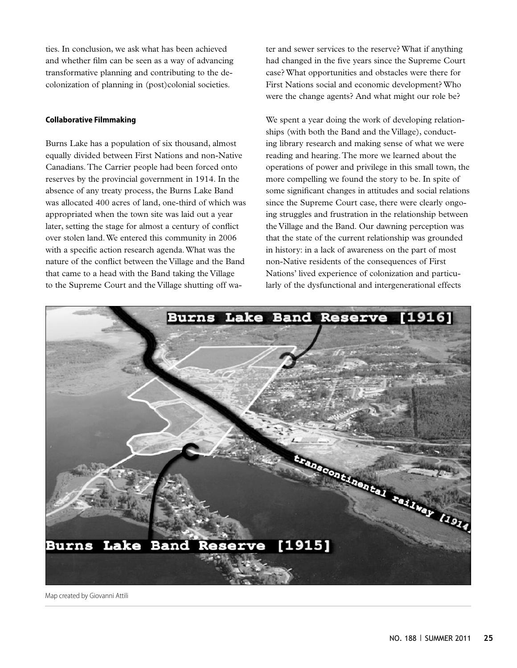ties. In conclusion, we ask what has been achieved and whether film can be seen as a way of advancing transformative planning and contributing to the decolonization of planning in (post)colonial societies.

## **Collaborative Filmmaking**

Burns Lake has a population of six thousand, almost equally divided between First Nations and non-Native Canadians. The Carrier people had been forced onto reserves by the provincial government in 1914. In the absence of any treaty process, the Burns Lake Band was allocated 400 acres of land, one-third of which was appropriated when the town site was laid out a year later, setting the stage for almost a century of conflict over stolen land. We entered this community in 2006 with a specific action research agenda. What was the nature of the conflict between the Village and the Band that came to a head with the Band taking the Village to the Supreme Court and the Village shutting off water and sewer services to the reserve? What if anything had changed in the five years since the Supreme Court case? What opportunities and obstacles were there for First Nations social and economic development? Who were the change agents? And what might our role be?

We spent a year doing the work of developing relationships (with both the Band and the Village), conducting library research and making sense of what we were reading and hearing. The more we learned about the operations of power and privilege in this small town, the more compelling we found the story to be. In spite of some significant changes in attitudes and social relations since the Supreme Court case, there were clearly ongoing struggles and frustration in the relationship between the Village and the Band. Our dawning perception was that the state of the current relationship was grounded in history: in a lack of awareness on the part of most non-Native residents of the consequences of First Nations' lived experience of colonization and particularly of the dysfunctional and intergenerational effects



Map created by Giovanni Attili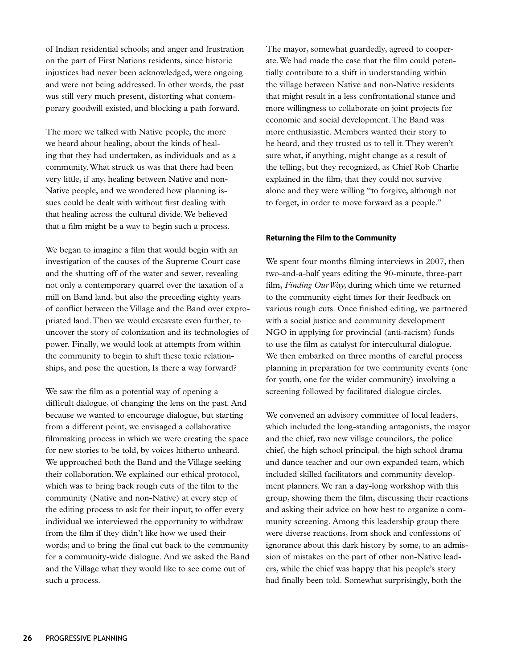of Indian residential schools; and anger and frustration on the part of First Nations residents, since historic injustices had never been acknowledged, were ongoing and were not being addressed. In other words, the past was still very much present, distorting what contemporary goodwill existed, and blocking a path forward.

The more we talked with Native people, the more we heard about healing, about the kinds of healing that they had undertaken, as individuals and as a community. What struck us was that there had been very little, if any, healing between Native and non-Native people, and we wondered how planning issues could be dealt with without first dealing with that healing across the cultural divide. We believed that a film might be a way to begin such a process.

We began to imagine a film that would begin with an investigation of the causes of the Supreme Court case and the shutting off of the water and sewer, revealing not only a contemporary quarrel over the taxation of a mill on Band land, but also the preceding eighty years of conflict between the Village and the Band over expropriated land. Then we would excavate even further, to uncover the story of colonization and its technologies of power. Finally, we would look at attempts from within the community to begin to shift these toxic relationships, and pose the question, Is there a way forward?

We saw the film as a potential way of opening a difficult dialogue, of changing the lens on the past. And because we wanted to encourage dialogue, but starting from a different point, we envisaged a collaborative filmmaking process in which we were creating the space for new stories to be told, by voices hitherto unheard. We approached both the Band and the Village seeking their collaboration. We explained our ethical protocol, which was to bring back rough cuts of the film to the community (Native and non-Native) at every step of the editing process to ask for their input; to offer every individual we interviewed the opportunity to withdraw from the film if they didn't like how we used their words; and to bring the final cut back to the community for a community-wide dialogue. And we asked the Band and the Village what they would like to see come out of such a process.

The mayor, somewhat guardedly, agreed to cooperate. We had made the case that the film could potentially contribute to a shift in understanding within the village between Native and non-Native residents that might result in a less confrontational stance and more willingness to collaborate on joint projects for economic and social development. The Band was more enthusiastic. Members wanted their story to be heard, and they trusted us to tell it. They weren't sure what, if anything, might change as a result of the telling, but they recognized, as Chief Rob Charlie explained in the film, that they could not survive alone and they were willing "to forgive, although not to forget, in order to move forward as a people."

#### **Returning the Film to the Community**

We spent four months filming interviews in 2007, then two-and-a-half years editing the 90-minute, three-part film, *Finding Our Way,* during which time we returned to the community eight times for their feedback on various rough cuts. Once finished editing, we partnered with a social justice and community development NGO in applying for provincial (anti-racism) funds to use the film as catalyst for intercultural dialogue. We then embarked on three months of careful process planning in preparation for two community events (one for youth, one for the wider community) involving a screening followed by facilitated dialogue circles.

We convened an advisory committee of local leaders, which included the long-standing antagonists, the mayor and the chief, two new village councilors, the police chief, the high school principal, the high school drama and dance teacher and our own expanded team, which included skilled facilitators and community development planners. We ran a day-long workshop with this group, showing them the film, discussing their reactions and asking their advice on how best to organize a community screening. Among this leadership group there were diverse reactions, from shock and confessions of ignorance about this dark history by some, to an admission of mistakes on the part of other non-Native leaders, while the chief was happy that his people's story had finally been told. Somewhat surprisingly, both the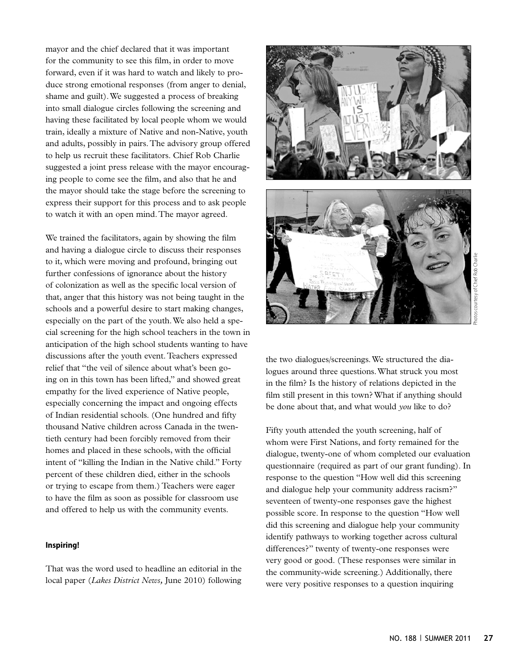mayor and the chief declared that it was important for the community to see this film, in order to move forward, even if it was hard to watch and likely to produce strong emotional responses (from anger to denial, shame and guilt). We suggested a process of breaking into small dialogue circles following the screening and having these facilitated by local people whom we would train, ideally a mixture of Native and non-Native, youth and adults, possibly in pairs. The advisory group offered to help us recruit these facilitators. Chief Rob Charlie suggested a joint press release with the mayor encouraging people to come see the film, and also that he and the mayor should take the stage before the screening to express their support for this process and to ask people to watch it with an open mind. The mayor agreed.

We trained the facilitators, again by showing the film and having a dialogue circle to discuss their responses to it, which were moving and profound, bringing out further confessions of ignorance about the history of colonization as well as the specific local version of that, anger that this history was not being taught in the schools and a powerful desire to start making changes, especially on the part of the youth. We also held a special screening for the high school teachers in the town in anticipation of the high school students wanting to have discussions after the youth event. Teachers expressed relief that "the veil of silence about what's been going on in this town has been lifted," and showed great empathy for the lived experience of Native people, especially concerning the impact and ongoing effects of Indian residential schools. (One hundred and fifty thousand Native children across Canada in the twentieth century had been forcibly removed from their homes and placed in these schools, with the official intent of "killing the Indian in the Native child." Forty percent of these children died, either in the schools or trying to escape from them.) Teachers were eager to have the film as soon as possible for classroom use and offered to help us with the community events.

## **Inspiring!**

That was the word used to headline an editorial in the local paper (*Lakes District News,* June 2010) following



the two dialogues/screenings. We structured the dialogues around three questions. What struck you most in the film? Is the history of relations depicted in the film still present in this town? What if anything should be done about that, and what would *you* like to do?

Fifty youth attended the youth screening, half of whom were First Nations, and forty remained for the dialogue, twenty-one of whom completed our evaluation questionnaire (required as part of our grant funding). In response to the question "How well did this screening and dialogue help your community address racism?" seventeen of twenty-one responses gave the highest possible score. In response to the question "How well did this screening and dialogue help your community identify pathways to working together across cultural differences?" twenty of twenty-one responses were very good or good. (These responses were similar in the community-wide screening.) Additionally, there were very positive responses to a question inquiring